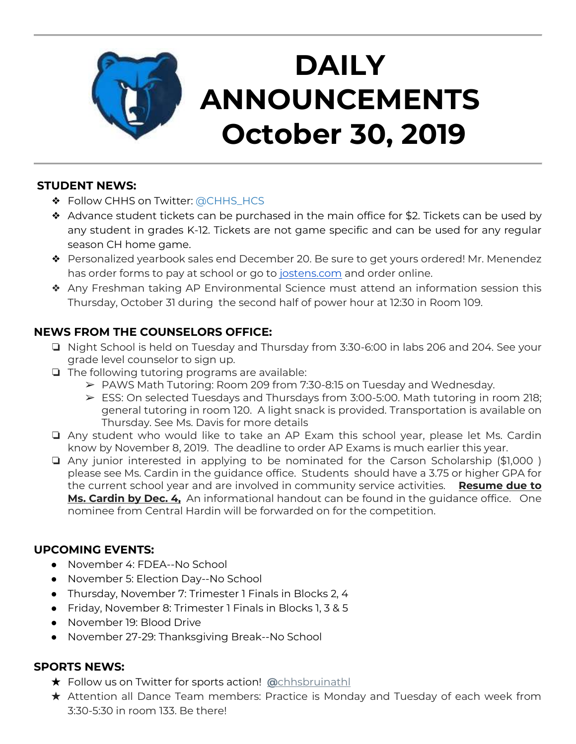

# **DAILY ANNOUNCEMENTS October 30, 2019**

## **STUDENT NEWS:**

- ◆ Follow CHHS on Twitter: [@CHHS\\_HCS](https://twitter.com/CHHS_HCS)
- ❖ Advance student tickets can be purchased in the main office for \$2. Tickets can be used by any student in grades K-12. Tickets are not game specific and can be used for any regular season CH home game.
- ❖ Personalized yearbook sales end December 20. Be sure to get yours ordered! Mr. Menendez has order forms to pay at school or go to [jostens.com](http://jostens.com/) and order online.
- ❖ Any Freshman taking AP Environmental Science must attend an information session this Thursday, October 31 during the second half of power hour at 12:30 in Room 109.

# **NEWS FROM THE COUNSELORS OFFICE:**

- ❏ Night School is held on Tuesday and Thursday from 3:30-6:00 in labs 206 and 204. See your grade level counselor to sign up.
- ❏ The following tutoring programs are available:
	- ➢ PAWS Math Tutoring: Room 209 from 7:30-8:15 on Tuesday and Wednesday.
	- ➢ ESS: On selected Tuesdays and Thursdays from 3:00-5:00. Math tutoring in room 218; general tutoring in room 120. A light snack is provided. Transportation is available on Thursday. See Ms. Davis for more details
- ❏ Any student who would like to take an AP Exam this school year, please let Ms. Cardin know by November 8, 2019. The deadline to order AP Exams is much earlier this year.
- ❏ Any junior interested in applying to be nominated for the Carson Scholarship (\$1,000 ) please see Ms. Cardin in the guidance office. Students should have a 3.75 or higher GPA for the current school year and are involved in community service activities. **Resume due to Ms. Cardin by Dec. 4,** An informational handout can be found in the guidance office. One nominee from Central Hardin will be forwarded on for the competition.

# **UPCOMING EVENTS:**

- November 4: FDEA--No School
- November 5: Election Day--No School
- Thursday, November 7: Trimester 1 Finals in Blocks 2, 4
- Friday, November 8: Trimester 1 Finals in Blocks 1, 3 & 5
- November 19: Blood Drive
- November 27-29: Thanksgiving Break--No School

## **SPORTS NEWS:**

- ★ Follow us on Twitter for sports action! **[@](https://twitter.com/chhsbruinathl)**[chhsbruinathl](https://twitter.com/chhsbruinathl)
- ★ Attention all Dance Team members: Practice is Monday and Tuesday of each week from 3:30-5:30 in room 133. Be there!